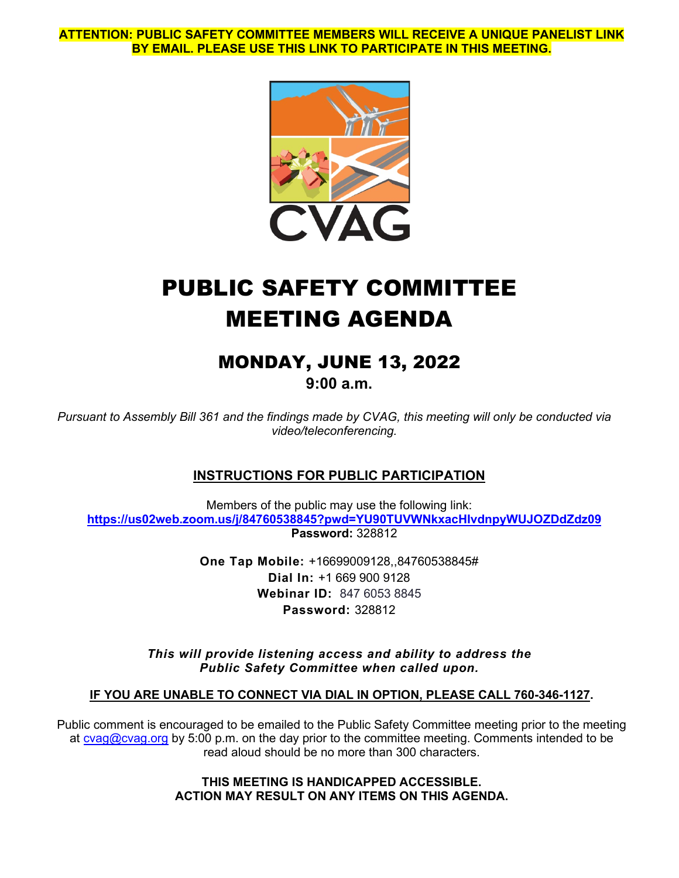**ATTENTION: PUBLIC SAFETY COMMITTEE MEMBERS WILL RECEIVE A UNIQUE PANELIST LINK BY EMAIL. PLEASE USE THIS LINK TO PARTICIPATE IN THIS MEETING.**



# PUBLIC SAFETY COMMITTEE MEETING AGENDA

# MONDAY, JUNE 13, 2022

**9:00 a.m.**

*Pursuant to Assembly Bill 361 and the findings made by CVAG, this meeting will only be conducted via video/teleconferencing.*

# **INSTRUCTIONS FOR PUBLIC PARTICIPATION**

Members of the public may use the following link: **<https://us02web.zoom.us/j/84760538845?pwd=YU90TUVWNkxacHIvdnpyWUJOZDdZdz09> Password:** 328812

> **One Tap Mobile:** +16699009128,,84760538845# **Dial In:** +1 669 900 9128 **Webinar ID:** 847 6053 8845 **Password:** 328812

*This will provide listening access and ability to address the Public Safety Committee when called upon.*

### **IF YOU ARE UNABLE TO CONNECT VIA DIAL IN OPTION, PLEASE CALL 760-346-1127.**

Public comment is encouraged to be emailed to the Public Safety Committee meeting prior to the meeting at cyag@cyag.org by 5:00 p.m. on the day prior to the committee meeting. Comments intended to be read aloud should be no more than 300 characters.

> **THIS MEETING IS HANDICAPPED ACCESSIBLE. ACTION MAY RESULT ON ANY ITEMS ON THIS AGENDA.**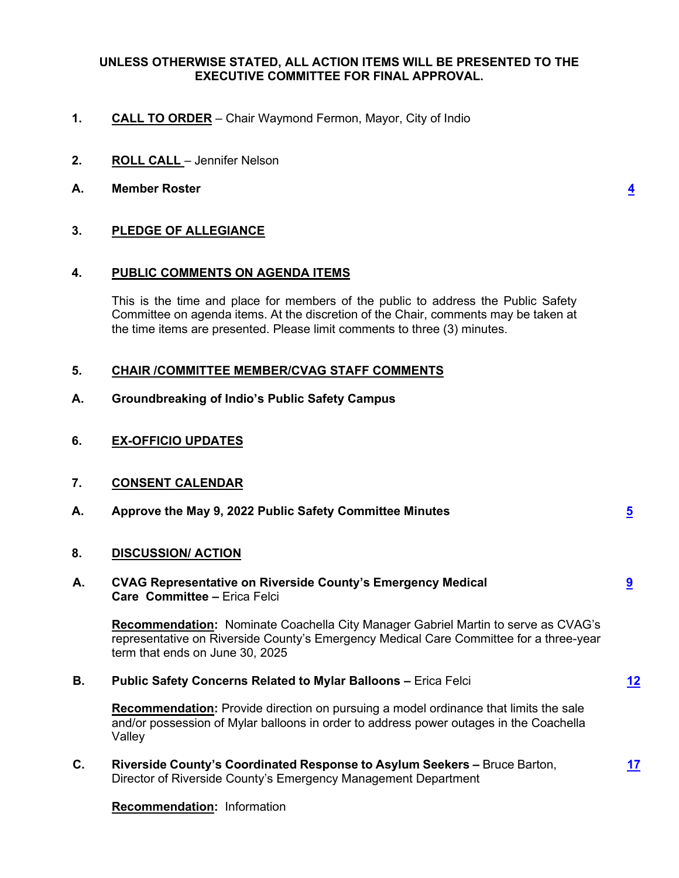#### **UNLESS OTHERWISE STATED, ALL ACTION ITEMS WILL BE PRESENTED TO THE EXECUTIVE COMMITTEE FOR FINAL APPROVAL.**

- **1. CALL TO ORDER** Chair Waymond Fermon, Mayor, City of Indio
- **2. ROLL CALL** Jennifer Nelson
- **A. Member Roster [4](#page-3-0)**

#### **3. PLEDGE OF ALLEGIANCE**

#### **4. PUBLIC COMMENTS ON AGENDA ITEMS**

This is the time and place for members of the public to address the Public Safety Committee on agenda items. At the discretion of the Chair, comments may be taken at the time items are presented. Please limit comments to three (3) minutes.

#### **5. CHAIR /COMMITTEE MEMBER/CVAG STAFF COMMENTS**

- **A. Groundbreaking of Indio's Public Safety Campus**
- **6. EX-OFFICIO UPDATES**
- **7. CONSENT CALENDAR**

| А. | Approve the May 9, 2022 Public Safety Committee Minutes |  |  |  |  |  |  |  |  |
|----|---------------------------------------------------------|--|--|--|--|--|--|--|--|
| 8. | <b>DISCUSSION/ ACTION</b>                               |  |  |  |  |  |  |  |  |
|    |                                                         |  |  |  |  |  |  |  |  |

#### **A. CVAG Representative on Riverside County's Emergency Medical [9](#page-8-0) Care Committee –** Erica Felci

**Recommendation:** Nominate Coachella City Manager Gabriel Martin to serve as CVAG's representative on Riverside County's Emergency Medical Care Committee for a three-year term that ends on June 30, 2025

**B. Public Safety Concerns Related to Mylar Balloons –** Erica Felci **[12](#page-11-0)**

**Recommendation:** Provide direction on pursuing a model ordinance that limits the sale and/or possession of Mylar balloons in order to address power outages in the Coachella Valley

**C. Riverside County's Coordinated Response to Asylum Seekers –** Bruce Barton, **[17](#page-16-0)** Director of Riverside County's Emergency Management Department

**Recommendation:** Information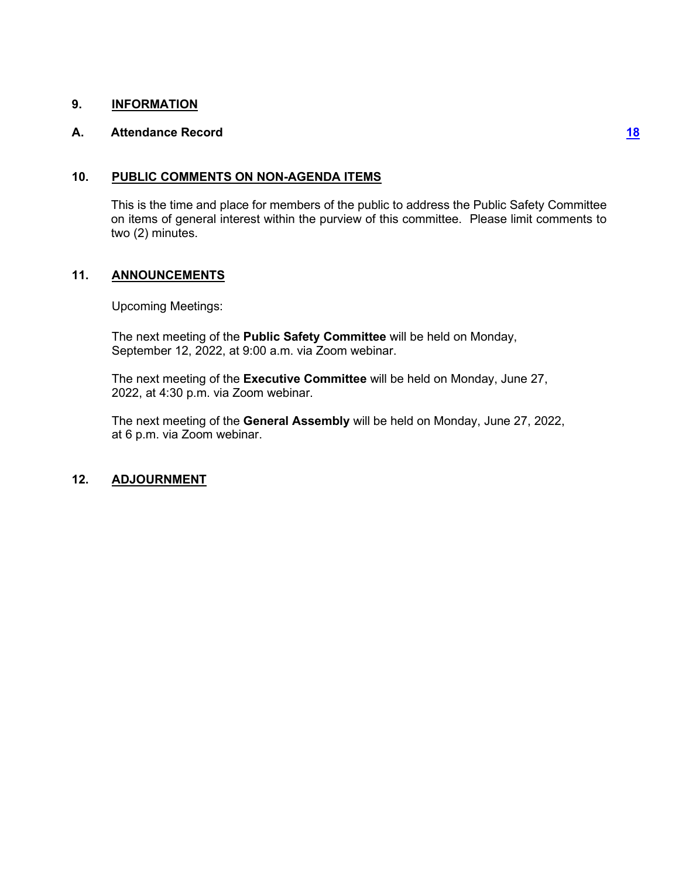#### **9. INFORMATION**

#### **A. Attendance Record [18](#page-17-0)**

#### **10. PUBLIC COMMENTS ON NON-AGENDA ITEMS**

This is the time and place for members of the public to address the Public Safety Committee on items of general interest within the purview of this committee. Please limit comments to two (2) minutes.

### **11. ANNOUNCEMENTS**

Upcoming Meetings:

The next meeting of the **Public Safety Committee** will be held on Monday, September 12, 2022, at 9:00 a.m. via Zoom webinar.

The next meeting of the **Executive Committee** will be held on Monday, June 27, 2022, at 4:30 p.m. via Zoom webinar.

The next meeting of the **General Assembly** will be held on Monday, June 27, 2022, at 6 p.m. via Zoom webinar.

#### **12. ADJOURNMENT**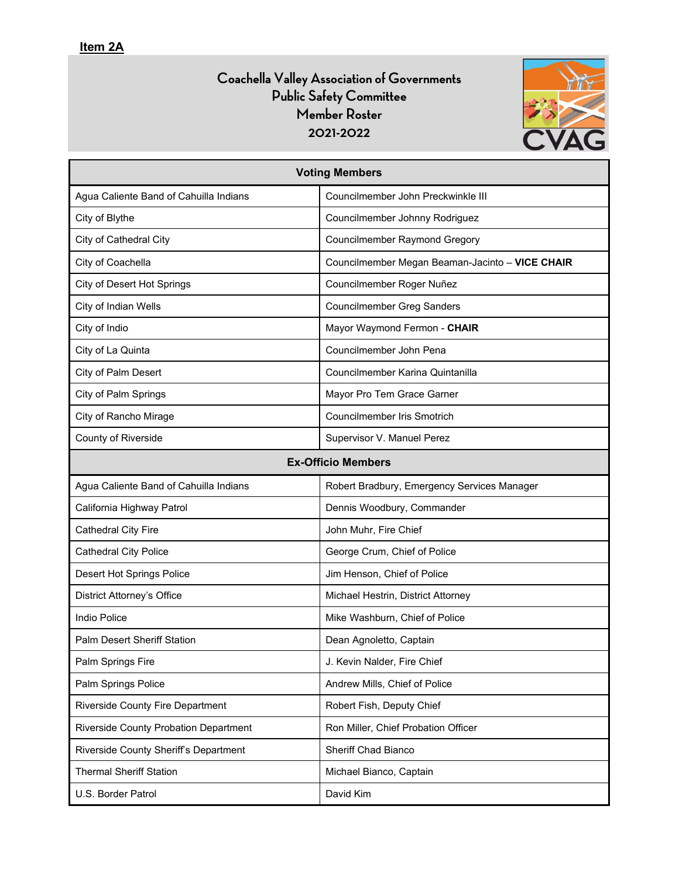# **Coachella Valley Association of Governments Public Safety Committee Member Roster 2021-2022**



<span id="page-3-0"></span>

| <b>Voting Members</b>                        |                                                 |  |  |  |  |  |  |  |
|----------------------------------------------|-------------------------------------------------|--|--|--|--|--|--|--|
| Agua Caliente Band of Cahuilla Indians       | Councilmember John Preckwinkle III              |  |  |  |  |  |  |  |
| City of Blythe                               | Councilmember Johnny Rodriguez                  |  |  |  |  |  |  |  |
| City of Cathedral City                       | <b>Councilmember Raymond Gregory</b>            |  |  |  |  |  |  |  |
| City of Coachella                            | Councilmember Megan Beaman-Jacinto - VICE CHAIR |  |  |  |  |  |  |  |
| City of Desert Hot Springs                   | Councilmember Roger Nuñez                       |  |  |  |  |  |  |  |
| City of Indian Wells                         | <b>Councilmember Greg Sanders</b>               |  |  |  |  |  |  |  |
| City of Indio                                | Mayor Waymond Fermon - CHAIR                    |  |  |  |  |  |  |  |
| City of La Quinta                            | Councilmember John Pena                         |  |  |  |  |  |  |  |
| City of Palm Desert                          | Councilmember Karina Quintanilla                |  |  |  |  |  |  |  |
| City of Palm Springs                         | Mayor Pro Tem Grace Garner                      |  |  |  |  |  |  |  |
| City of Rancho Mirage                        | Councilmember Iris Smotrich                     |  |  |  |  |  |  |  |
| County of Riverside                          | Supervisor V. Manuel Perez                      |  |  |  |  |  |  |  |
|                                              | <b>Ex-Officio Members</b>                       |  |  |  |  |  |  |  |
| Agua Caliente Band of Cahuilla Indians       | Robert Bradbury, Emergency Services Manager     |  |  |  |  |  |  |  |
| California Highway Patrol                    | Dennis Woodbury, Commander                      |  |  |  |  |  |  |  |
| Cathedral City Fire                          | John Muhr, Fire Chief                           |  |  |  |  |  |  |  |
| <b>Cathedral City Police</b>                 | George Crum, Chief of Police                    |  |  |  |  |  |  |  |
| Desert Hot Springs Police                    | Jim Henson, Chief of Police                     |  |  |  |  |  |  |  |
| District Attorney's Office                   | Michael Hestrin, District Attorney              |  |  |  |  |  |  |  |
| <b>Indio Police</b>                          | Mike Washburn, Chief of Police                  |  |  |  |  |  |  |  |
| <b>Palm Desert Sheriff Station</b>           | Dean Agnoletto, Captain                         |  |  |  |  |  |  |  |
| Palm Springs Fire                            | J. Kevin Nalder, Fire Chief                     |  |  |  |  |  |  |  |
| Palm Springs Police                          | Andrew Mills, Chief of Police                   |  |  |  |  |  |  |  |
| Riverside County Fire Department             | Robert Fish, Deputy Chief                       |  |  |  |  |  |  |  |
| <b>Riverside County Probation Department</b> | Ron Miller, Chief Probation Officer             |  |  |  |  |  |  |  |
| Riverside County Sheriff's Department        | Sheriff Chad Bianco                             |  |  |  |  |  |  |  |
| <b>Thermal Sheriff Station</b>               | Michael Bianco, Captain                         |  |  |  |  |  |  |  |
| U.S. Border Patrol                           | David Kim                                       |  |  |  |  |  |  |  |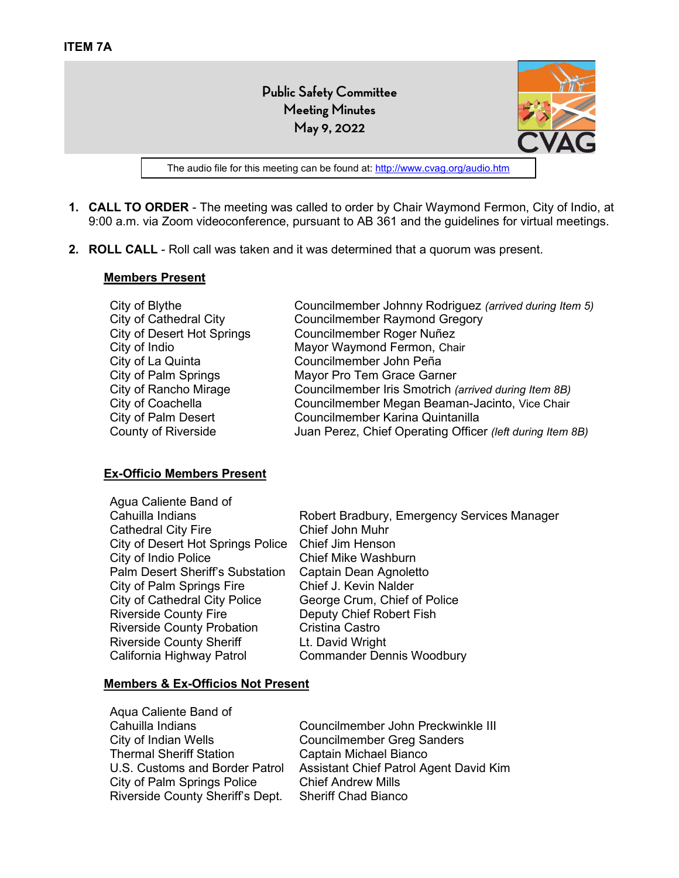**Public Safety Committee Meeting Minutes May 9, 2022**



The audio file for this meeting can be found at[: http://www.cvag.org/audio.htm](http://www.cvag.org/audio.htm)

- <span id="page-4-0"></span>**1. CALL TO ORDER** - The meeting was called to order by Chair Waymond Fermon, City of Indio, at 9:00 a.m. via Zoom videoconference, pursuant to AB 361 and the guidelines for virtual meetings.
- **2. ROLL CALL**  Roll call was taken and it was determined that a quorum was present.

#### **Members Present**

| Councilmember Johnny Rodriguez (arrived during Item 5)    |
|-----------------------------------------------------------|
| <b>Councilmember Raymond Gregory</b>                      |
| Councilmember Roger Nuñez                                 |
| Mayor Waymond Fermon, Chair                               |
| Councilmember John Peña                                   |
| Mayor Pro Tem Grace Garner                                |
| Councilmember Iris Smotrich (arrived during Item 8B)      |
| Councilmember Megan Beaman-Jacinto, Vice Chair            |
| Councilmember Karina Quintanilla                          |
| Juan Perez, Chief Operating Officer (left during Item 8B) |
|                                                           |

#### **Ex-Officio Members Present**

| Agua Caliente Band of                   |                                             |
|-----------------------------------------|---------------------------------------------|
| Cahuilla Indians                        | Robert Bradbury, Emergency Services Manager |
| <b>Cathedral City Fire</b>              | Chief John Muhr                             |
| City of Desert Hot Springs Police       | Chief Jim Henson                            |
| City of Indio Police                    | <b>Chief Mike Washburn</b>                  |
| <b>Palm Desert Sheriff's Substation</b> | Captain Dean Agnoletto                      |
| City of Palm Springs Fire               | Chief J. Kevin Nalder                       |
| <b>City of Cathedral City Police</b>    | George Crum, Chief of Police                |
| <b>Riverside County Fire</b>            | Deputy Chief Robert Fish                    |
| <b>Riverside County Probation</b>       | Cristina Castro                             |
| <b>Riverside County Sheriff</b>         | Lt. David Wright                            |
| California Highway Patrol               | <b>Commander Dennis Woodbury</b>            |
|                                         |                                             |

#### **Members & Ex-Officios Not Present**

Aqua Caliente Band of Cahuilla Indians City of Indian Wells Thermal Sheriff Station U.S. Customs and Border Patrol City of Palm Springs Police Riverside County Sheriff's Dept.

Councilmember John Preckwinkle III Councilmember Greg Sanders Captain Michael Bianco Assistant Chief Patrol Agent David Kim Chief Andrew Mills Sheriff Chad Bianco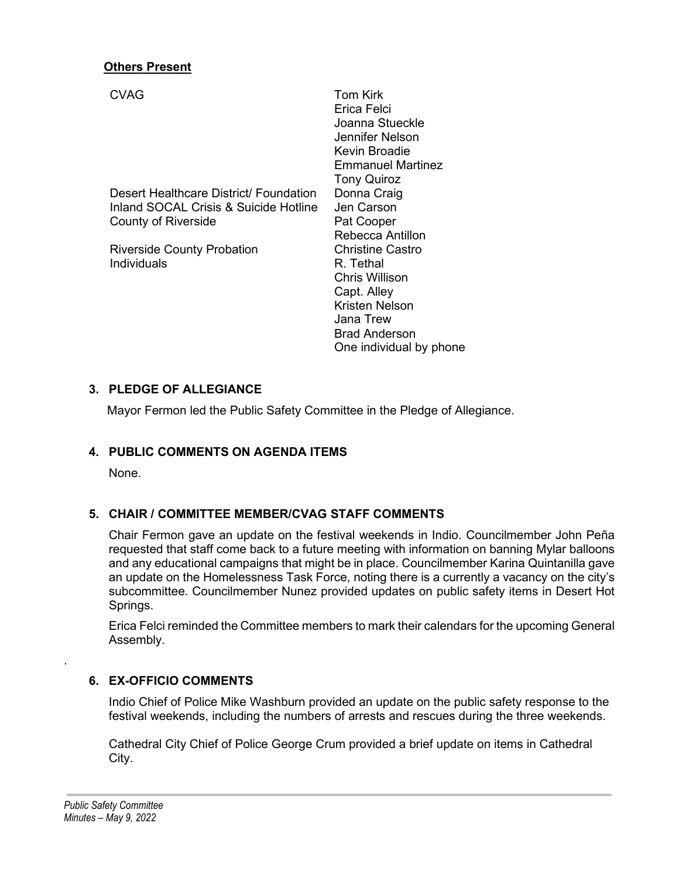#### **Others Present**

| <b>CVAG</b>                            | Tom Kirk<br>Erica Felci<br>Joanna Stueckle<br>Jennifer Nelson<br>Kevin Broadie<br>Emmanuel Martinez |
|----------------------------------------|-----------------------------------------------------------------------------------------------------|
|                                        | <b>Tony Quiroz</b>                                                                                  |
| Desert Healthcare District/ Foundation | Donna Craig                                                                                         |
| Inland SOCAL Crisis & Suicide Hotline  | Jen Carson                                                                                          |
| <b>County of Riverside</b>             | Pat Cooper                                                                                          |
|                                        | Rebecca Antillon                                                                                    |
| <b>Riverside County Probation</b>      | Christine Castro                                                                                    |
| Individuals                            | R. Tethal                                                                                           |
|                                        | Chris Willison                                                                                      |
|                                        | Capt. Alley                                                                                         |
|                                        | Kristen Nelson                                                                                      |
|                                        | Jana Trew                                                                                           |
|                                        | <b>Brad Anderson</b>                                                                                |

#### **3. PLEDGE OF ALLEGIANCE**

Mayor Fermon led the Public Safety Committee in the Pledge of Allegiance.

#### **4. PUBLIC COMMENTS ON AGENDA ITEMS**

None.

#### **5. CHAIR / COMMITTEE MEMBER/CVAG STAFF COMMENTS**

Chair Fermon gave an update on the festival weekends in Indio. Councilmember John Peña requested that staff come back to a future meeting with information on banning Mylar balloons and any educational campaigns that might be in place. Councilmember Karina Quintanilla gave an update on the Homelessness Task Force, noting there is a currently a vacancy on the city's subcommittee. Councilmember Nunez provided updates on public safety items in Desert Hot Springs.

One individual by phone

Erica Felci reminded the Committee members to mark their calendars for the upcoming General Assembly.

#### **6. EX-OFFICIO COMMENTS**

Indio Chief of Police Mike Washburn provided an update on the public safety response to the festival weekends, including the numbers of arrests and rescues during the three weekends.

Cathedral City Chief of Police George Crum provided a brief update on items in Cathedral City.

.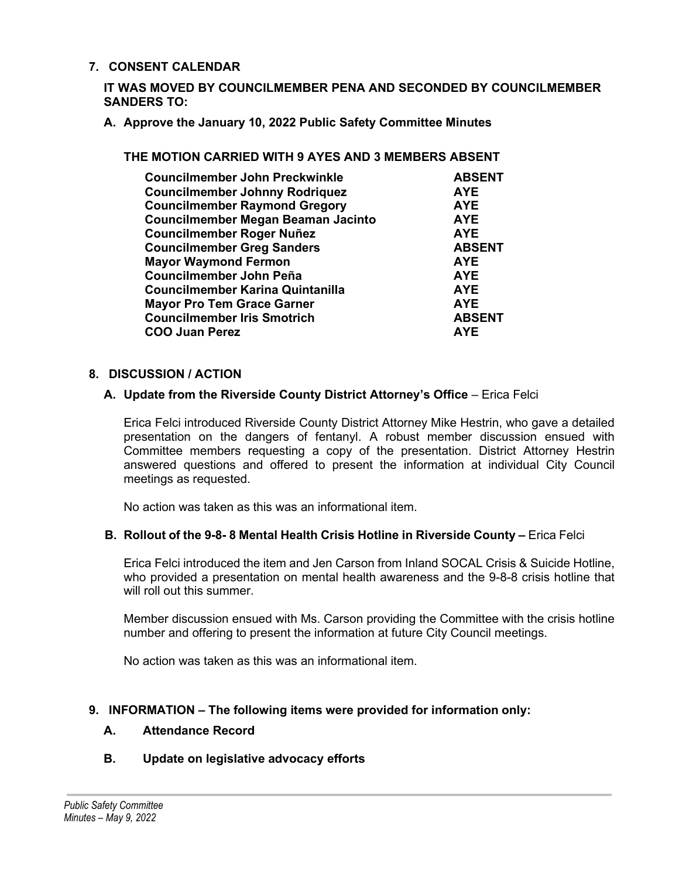#### **7. CONSENT CALENDAR**

**IT WAS MOVED BY COUNCILMEMBER PENA AND SECONDED BY COUNCILMEMBER SANDERS TO:**

**A. Approve the January 10, 2022 Public Safety Committee Minutes**

#### **THE MOTION CARRIED WITH 9 AYES AND 3 MEMBERS ABSENT**

| <b>Councilmember John Preckwinkle</b>     | <b>ABSENT</b> |
|-------------------------------------------|---------------|
| <b>Councilmember Johnny Rodriquez</b>     | <b>AYE</b>    |
| <b>Councilmember Raymond Gregory</b>      | <b>AYE</b>    |
| <b>Councilmember Megan Beaman Jacinto</b> | <b>AYE</b>    |
| <b>Councilmember Roger Nuñez</b>          | <b>AYE</b>    |
| <b>Councilmember Greg Sanders</b>         | <b>ABSENT</b> |
| <b>Mayor Waymond Fermon</b>               | <b>AYE</b>    |
| Councilmember John Peña                   | <b>AYE</b>    |
| Councilmember Karina Quintanilla          | <b>AYE</b>    |
| <b>Mayor Pro Tem Grace Garner</b>         | <b>AYE</b>    |
| <b>Councilmember Iris Smotrich</b>        | <b>ABSENT</b> |
| <b>COO Juan Perez</b>                     | <b>AYF</b>    |

#### **8. DISCUSSION / ACTION**

#### **A. Update from the Riverside County District Attorney's Office** – Erica Felci

Erica Felci introduced Riverside County District Attorney Mike Hestrin, who gave a detailed presentation on the dangers of fentanyl. A robust member discussion ensued with Committee members requesting a copy of the presentation. District Attorney Hestrin answered questions and offered to present the information at individual City Council meetings as requested.

No action was taken as this was an informational item.

#### **B. Rollout of the 9-8- 8 Mental Health Crisis Hotline in Riverside County –** Erica Felci

Erica Felci introduced the item and Jen Carson from Inland SOCAL Crisis & Suicide Hotline, who provided a presentation on mental health awareness and the 9-8-8 crisis hotline that will roll out this summer.

Member discussion ensued with Ms. Carson providing the Committee with the crisis hotline number and offering to present the information at future City Council meetings.

No action was taken as this was an informational item.

#### **9. INFORMATION – The following items were provided for information only:**

#### **A. Attendance Record**

### **B. Update on legislative advocacy efforts**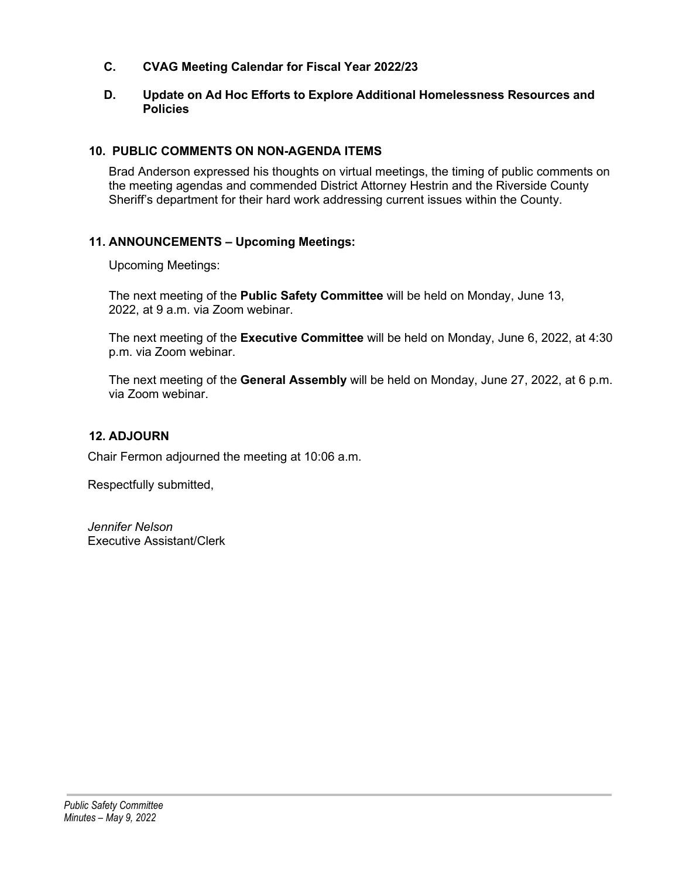- **C. CVAG Meeting Calendar for Fiscal Year 2022/23**
- **D. Update on Ad Hoc Efforts to Explore Additional Homelessness Resources and Policies**

## **10. PUBLIC COMMENTS ON NON-AGENDA ITEMS**

Brad Anderson expressed his thoughts on virtual meetings, the timing of public comments on the meeting agendas and commended District Attorney Hestrin and the Riverside County Sheriff's department for their hard work addressing current issues within the County.

## **11. ANNOUNCEMENTS – Upcoming Meetings:**

Upcoming Meetings:

The next meeting of the **Public Safety Committee** will be held on Monday, June 13, 2022, at 9 a.m. via Zoom webinar.

The next meeting of the **Executive Committee** will be held on Monday, June 6, 2022, at 4:30 p.m. via Zoom webinar.

The next meeting of the **General Assembly** will be held on Monday, June 27, 2022, at 6 p.m. via Zoom webinar.

## **12. ADJOURN**

Chair Fermon adjourned the meeting at 10:06 a.m.

Respectfully submitted,

*Jennifer Nelson*  Executive Assistant/Clerk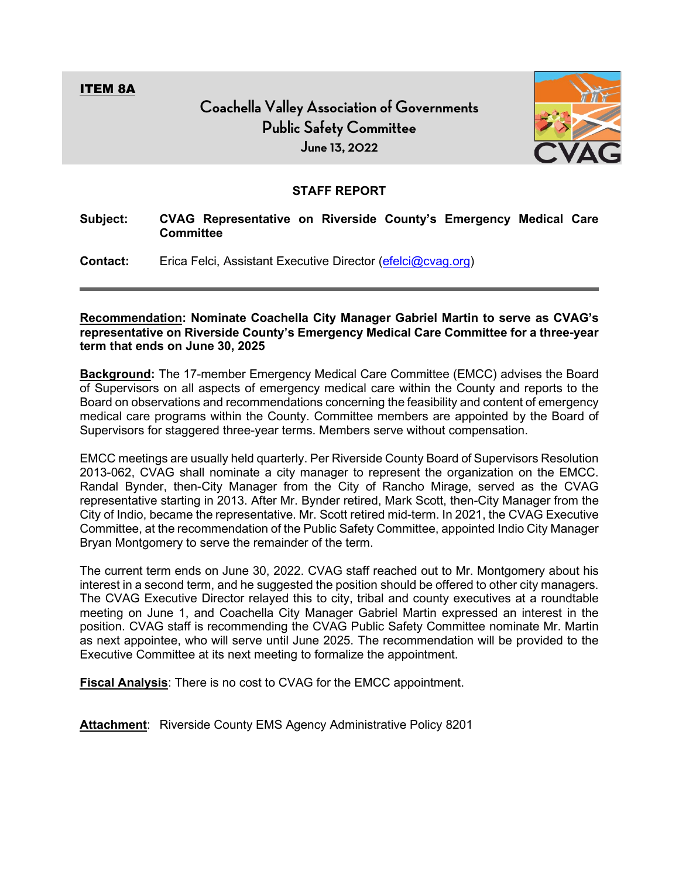<span id="page-8-0"></span>ITEM 8A



#### **STAFF REPORT**

**Subject: CVAG Representative on Riverside County's Emergency Medical Care Committee** 

**Contact:** Erica Felci, Assistant Executive Director [\(efelci@cvag.org\)](mailto:efelci@cvag.org)

**Recommendation: Nominate Coachella City Manager Gabriel Martin to serve as CVAG's representative on Riverside County's Emergency Medical Care Committee for a three-year term that ends on June 30, 2025**

**Background:** The 17-member Emergency Medical Care Committee (EMCC) advises the Board of Supervisors on all aspects of emergency medical care within the County and reports to the Board on observations and recommendations concerning the feasibility and content of emergency medical care programs within the County. Committee members are appointed by the Board of Supervisors for staggered three-year terms. Members serve without compensation.

EMCC meetings are usually held quarterly. Per Riverside County Board of Supervisors Resolution 2013-062, CVAG shall nominate a city manager to represent the organization on the EMCC. Randal Bynder, then-City Manager from the City of Rancho Mirage, served as the CVAG representative starting in 2013. After Mr. Bynder retired, Mark Scott, then-City Manager from the City of Indio, became the representative. Mr. Scott retired mid-term. In 2021, the CVAG Executive Committee, at the recommendation of the Public Safety Committee, appointed Indio City Manager Bryan Montgomery to serve the remainder of the term.

The current term ends on June 30, 2022. CVAG staff reached out to Mr. Montgomery about his interest in a second term, and he suggested the position should be offered to other city managers. The CVAG Executive Director relayed this to city, tribal and county executives at a roundtable meeting on June 1, and Coachella City Manager Gabriel Martin expressed an interest in the position. CVAG staff is recommending the CVAG Public Safety Committee nominate Mr. Martin as next appointee, who will serve until June 2025. The recommendation will be provided to the Executive Committee at its next meeting to formalize the appointment.

**Fiscal Analysis**: There is no cost to CVAG for the EMCC appointment.

**Attachment**: Riverside County EMS Agency Administrative Policy 8201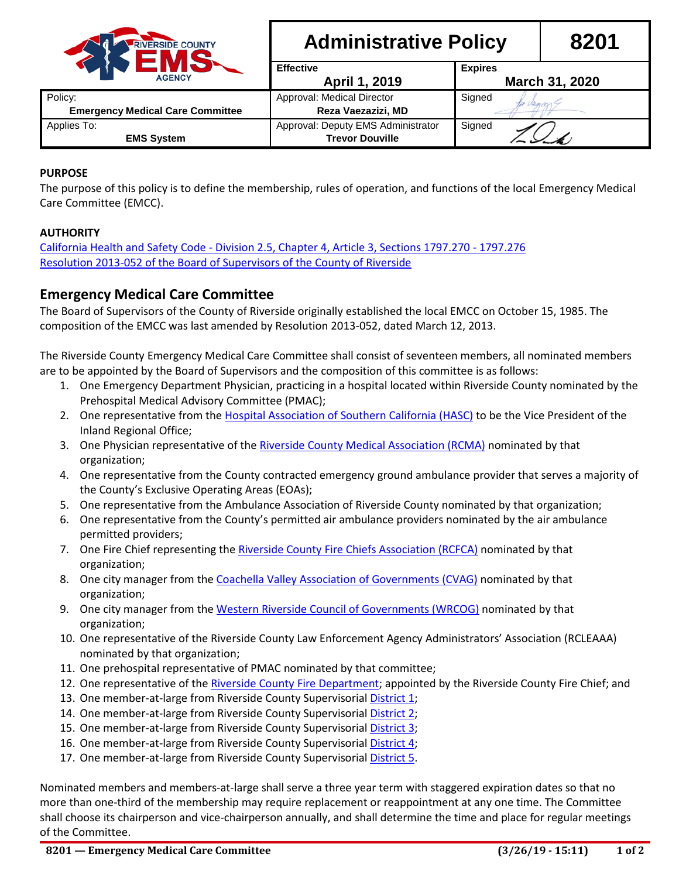

# **Administrative Policy 8201**

|                                         | <b>Effective</b>                   | <b>Expires</b> |
|-----------------------------------------|------------------------------------|----------------|
| <b>AGENCY</b>                           | April 1, 2019                      | March 31, 2020 |
| Policy:                                 | Approval: Medical Director         | Signed         |
| <b>Emergency Medical Care Committee</b> | Reza Vaezazizi, MD                 |                |
| Applies To:                             | Approval: Deputy EMS Administrator | Signed         |
| <b>EMS System</b>                       | <b>Trevor Douville</b>             |                |

#### **PURPOSE**

The purpose of this policy is to define the membership, rules of operation, and functions of the local Emergency Medical Care Committee (EMCC).

#### **AUTHORITY**

California Health and Safety Code - [Division 2.5, Chapter 4, Article 3, Sections 1797.270 -](http://www.emsa.ca.gov/Media/Default/PDF/EMSA_HSCODE_2014.pdf#View=FitV&Pagemode=Bookmarks&Page=77) 1797.276 [Resolution 2013-052 of the Board of Supervisors of the County of Riverside](http://rivcocob.org/proceeds/2013/p2013_04_23_files/03-42001.pdf#View=FitV&Pagemode=Bookmarks)

### **Emergency Medical Care Committee**

The Board of Supervisors of the County of Riverside originally established the local EMCC on October 15, 1985. The composition of the EMCC was last amended by Resolution 2013-052, dated March 12, 2013.

The Riverside County Emergency Medical Care Committee shall consist of seventeen members, all nominated members are to be appointed by the Board of Supervisors and the composition of this committee is as follows:

- 1. One Emergency Department Physician, practicing in a hospital located within Riverside County nominated by the Prehospital Medical Advisory Committee (PMAC);
- 2. One representative from the [Hospital Association of Southern California \(HASC\)](http://www.hasc.org/) to be the Vice President of the Inland Regional Office;
- 3. One Physician representative of the [Riverside County Medical Association \(RCMA\)](http://www.rcmanet.org/) nominated by that organization;
- 4. One representative from the County contracted emergency ground ambulance provider that serves a majority of the County's Exclusive Operating Areas (EOAs);
- 5. One representative from the Ambulance Association of Riverside County nominated by that organization;
- 6. One representative from the County's permitted air ambulance providers nominated by the air ambulance permitted providers;
- 7. One Fire Chief representing the [Riverside County Fire Chiefs Association \(RCFCA\)](https://www.rcfca.org/) nominated by that organization;
- 8. One city manager from the [Coachella Valley Association of Governments \(CVAG\)](http://www.cvag.org/) nominated by that organization;
- 9. One city manager from the [Western Riverside Council of Governments \(WRCOG\)](http://www.wrcog.cog.ca.us/) nominated by that organization;
- 10. One representative of the Riverside County Law Enforcement Agency Administrators' Association (RCLEAAA) nominated by that organization;
- 11. One prehospital representative of PMAC nominated by that committee;
- 12. One representative of the [Riverside County Fire Department;](http://www.rvcfire.org/) appointed by the Riverside County Fire Chief; and
- 13. One member-at-large from Riverside County Supervisorial [District 1;](http://www.rivcodistrict1.org/)
- 14. One member-at-large from Riverside County Supervisorial [District 2;](http://www.rivcodistrict2.org/)
- 15. One member-at-large from Riverside County Supervisorial [District 3;](http://www.supjeffstone.org/)
- 16. One member-at-large from Riverside County Supervisorial [District 4;](http://www.rivco4.org/)
- 17. One member-at-large from Riverside County Supervisorial [District 5.](http://district5.co.riverside.ca.us/)

Nominated members and members-at-large shall serve a three year term with staggered expiration dates so that no more than one-third of the membership may require replacement or reappointment at any one time. The Committee shall choose its chairperson and vice-chairperson annually, and shall determine the time and place for regular meetings of the Committee.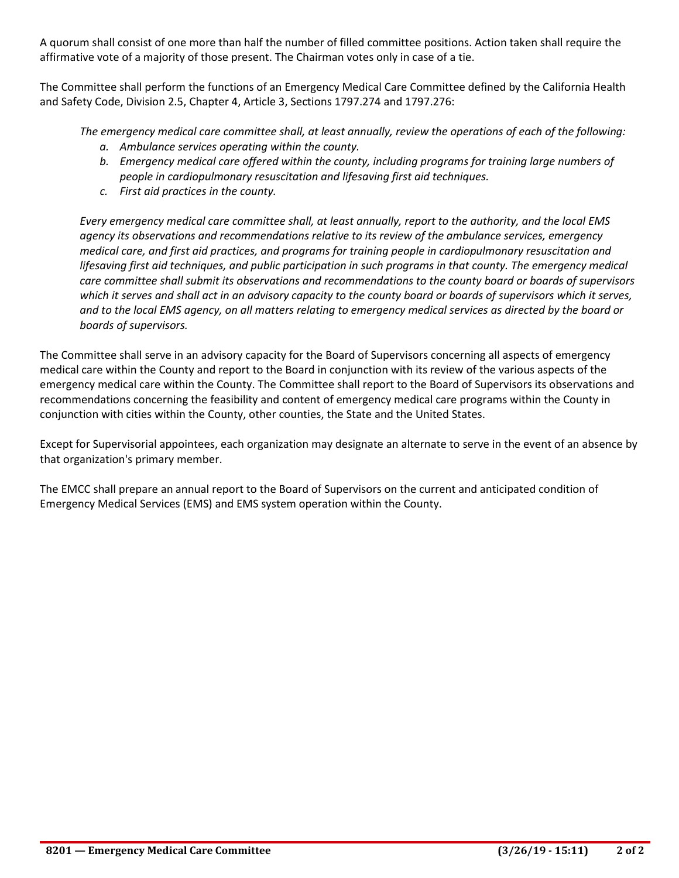A quorum shall consist of one more than half the number of filled committee positions. Action taken shall require the affirmative vote of a majority of those present. The Chairman votes only in case of a tie.

The Committee shall perform the functions of an Emergency Medical Care Committee defined by the California Health and Safety Code, Division 2.5, Chapter 4, Article 3, Sections 1797.274 and 1797.276:

*The emergency medical care committee shall, at least annually, review the operations of each of the following:*

- *a. Ambulance services operating within the county.*
- *b. Emergency medical care offered within the county, including programs for training large numbers of people in cardiopulmonary resuscitation and lifesaving first aid techniques.*
- *c. First aid practices in the county.*

*Every emergency medical care committee shall, at least annually, report to the authority, and the local EMS agency its observations and recommendations relative to its review of the ambulance services, emergency medical care, and first aid practices, and programs for training people in cardiopulmonary resuscitation and lifesaving first aid techniques, and public participation in such programs in that county. The emergency medical care committee shall submit its observations and recommendations to the county board or boards of supervisors*  which it serves and shall act in an advisory capacity to the county board or boards of supervisors which it serves, *and to the local EMS agency, on all matters relating to emergency medical services as directed by the board or boards of supervisors.*

The Committee shall serve in an advisory capacity for the Board of Supervisors concerning all aspects of emergency medical care within the County and report to the Board in conjunction with its review of the various aspects of the emergency medical care within the County. The Committee shall report to the Board of Supervisors its observations and recommendations concerning the feasibility and content of emergency medical care programs within the County in conjunction with cities within the County, other counties, the State and the United States.

Except for Supervisorial appointees, each organization may designate an alternate to serve in the event of an absence by that organization's primary member.

The EMCC shall prepare an annual report to the Board of Supervisors on the current and anticipated condition of Emergency Medical Services (EMS) and EMS system operation within the County.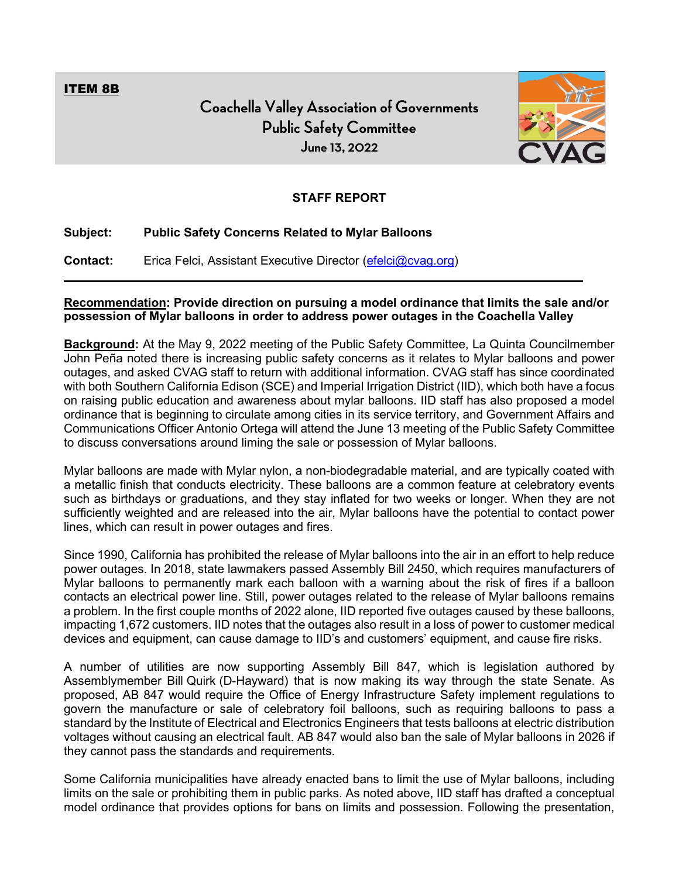<span id="page-11-0"></span>ITEM 8B

# **Coachella Valley Association of Governments Public Safety Committee June 13, 2022**



### **STAFF REPORT**

#### **Subject: Public Safety Concerns Related to Mylar Balloons**

**Contact:** Erica Felci, Assistant Executive Director [\(efelci@cvag.org\)](mailto:efelci@cvag.org)

#### **Recommendation: Provide direction on pursuing a model ordinance that limits the sale and/or possession of Mylar balloons in order to address power outages in the Coachella Valley**

**Background:** At the May 9, 2022 meeting of the Public Safety Committee, La Quinta Councilmember John Peña noted there is increasing public safety concerns as it relates to Mylar balloons and power outages, and asked CVAG staff to return with additional information. CVAG staff has since coordinated with both Southern California Edison (SCE) and Imperial Irrigation District (IID), which both have a focus on raising public education and awareness about mylar balloons. IID staff has also proposed a model ordinance that is beginning to circulate among cities in its service territory, and Government Affairs and Communications Officer Antonio Ortega will attend the June 13 meeting of the Public Safety Committee to discuss conversations around liming the sale or possession of Mylar balloons.

Mylar balloons are made with Mylar nylon, a non-biodegradable material, and are typically coated with a metallic finish that conducts electricity. These balloons are a common feature at celebratory events such as birthdays or graduations, and they stay inflated for two weeks or longer. When they are not sufficiently weighted and are released into the air, Mylar balloons have the potential to contact power lines, which can result in power outages and fires.

Since 1990, California has prohibited the release of Mylar balloons into the air in an effort to help reduce power outages. In 2018, state lawmakers passed Assembly Bill 2450, which requires manufacturers of Mylar balloons to permanently mark each balloon with a warning about the risk of fires if a balloon contacts an electrical power line. Still, power outages related to the release of Mylar balloons remains a problem. In the first couple months of 2022 alone, IID reported five outages caused by these balloons, impacting 1,672 customers. IID notes that the outages also result in a loss of power to customer medical devices and equipment, can cause damage to IID's and customers' equipment, and cause fire risks.

A number of utilities are now supporting Assembly Bill 847, which is legislation authored by Assemblymember Bill Quirk (D-Hayward) that is now making its way through the state Senate. As proposed, AB 847 would require the Office of Energy Infrastructure Safety implement regulations to govern the manufacture or sale of celebratory foil balloons, such as requiring balloons to pass a standard by the Institute of Electrical and Electronics Engineers that tests balloons at electric distribution voltages without causing an electrical fault. AB 847 would also ban the sale of Mylar balloons in 2026 if they cannot pass the standards and requirements.

Some California municipalities have already enacted bans to limit the use of Mylar balloons, including limits on the sale or prohibiting them in public parks. As noted above, IID staff has drafted a conceptual model ordinance that provides options for bans on limits and possession. Following the presentation,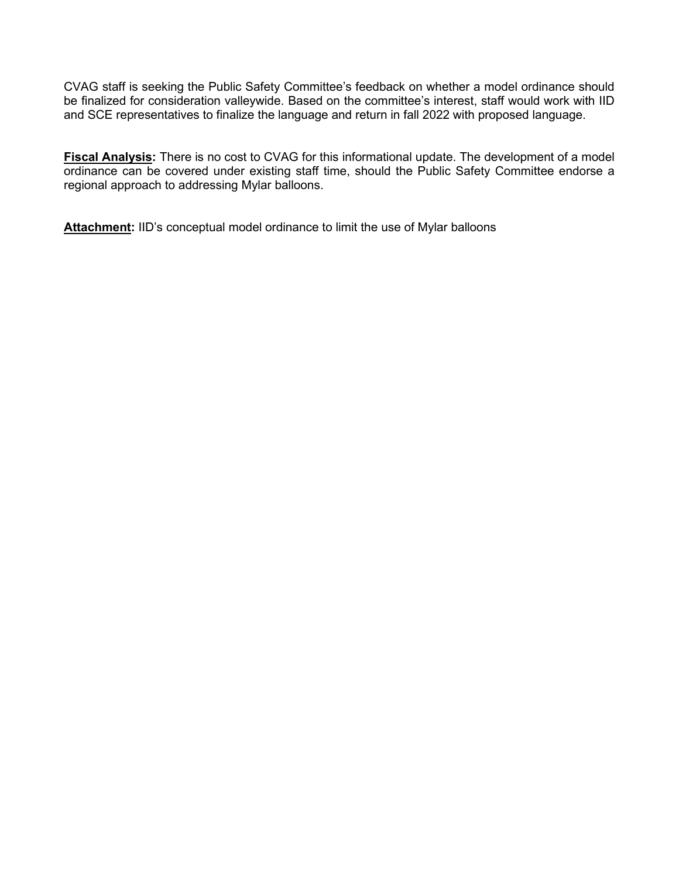CVAG staff is seeking the Public Safety Committee's feedback on whether a model ordinance should be finalized for consideration valleywide. Based on the committee's interest, staff would work with IID and SCE representatives to finalize the language and return in fall 2022 with proposed language.

**Fiscal Analysis:** There is no cost to CVAG for this informational update. The development of a model ordinance can be covered under existing staff time, should the Public Safety Committee endorse a regional approach to addressing Mylar balloons.

**Attachment:** IID's conceptual model ordinance to limit the use of Mylar balloons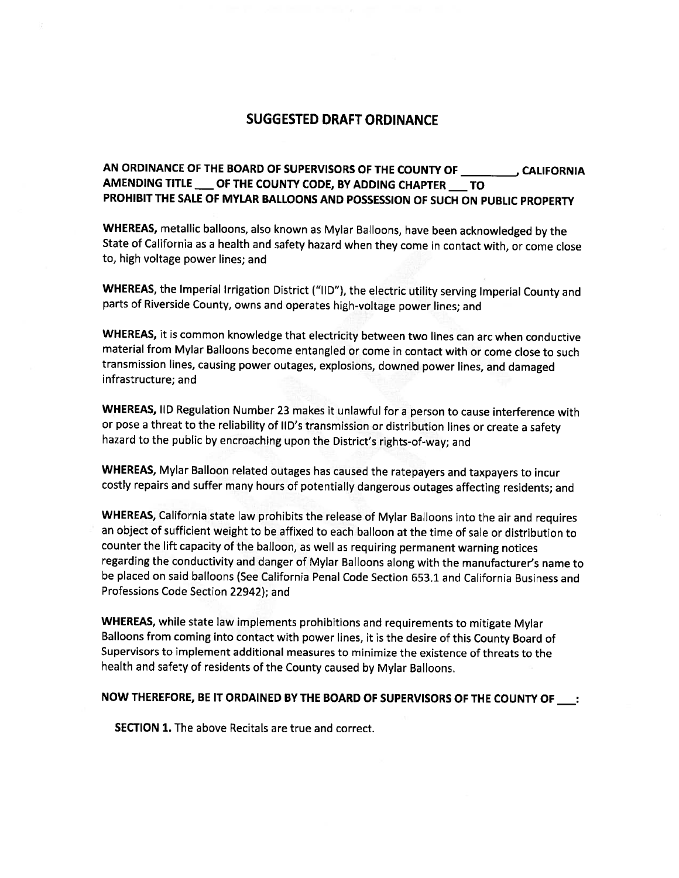## **SUGGESTED DRAFT ORDINANCE**

#### AMENDING TITLE OF THE COUNTY CODE, BY ADDING CHAPTER \_\_ TO PROHIBIT THE SALE OF MYLAR BALLOONS AND POSSESSION OF SUCH ON PUBLIC PROPERTY

WHEREAS, metallic balloons, also known as Mylar Balloons, have been acknowledged by the State of California as a health and safety hazard when they come in contact with, or come close to, high voltage power lines; and

WHEREAS, the Imperial Irrigation District ("IID"), the electric utility serving Imperial County and parts of Riverside County, owns and operates high-voltage power lines; and

WHEREAS, it is common knowledge that electricity between two lines can arc when conductive material from Mylar Balloons become entangled or come in contact with or come close to such transmission lines, causing power outages, explosions, downed power lines, and damaged infrastructure; and

WHEREAS, IID Regulation Number 23 makes it unlawful for a person to cause interference with or pose a threat to the reliability of IID's transmission or distribution lines or create a safety hazard to the public by encroaching upon the District's rights-of-way; and

WHEREAS, Mylar Balloon related outages has caused the ratepayers and taxpayers to incur costly repairs and suffer many hours of potentially dangerous outages affecting residents; and

WHEREAS, California state law prohibits the release of Mylar Balloons into the air and requires an object of sufficient weight to be affixed to each balloon at the time of sale or distribution to counter the lift capacity of the balloon, as well as requiring permanent warning notices regarding the conductivity and danger of Mylar Balloons along with the manufacturer's name to be placed on said balloons (See California Penal Code Section 653.1 and California Business and Professions Code Section 22942); and

WHEREAS, while state law implements prohibitions and requirements to mitigate Mylar Balloons from coming into contact with power lines, it is the desire of this County Board of Supervisors to implement additional measures to minimize the existence of threats to the health and safety of residents of the County caused by Mylar Balloons.

#### NOW THEREFORE, BE IT ORDAINED BY THE BOARD OF SUPERVISORS OF THE COUNTY OF :

**SECTION 1.** The above Recitals are true and correct.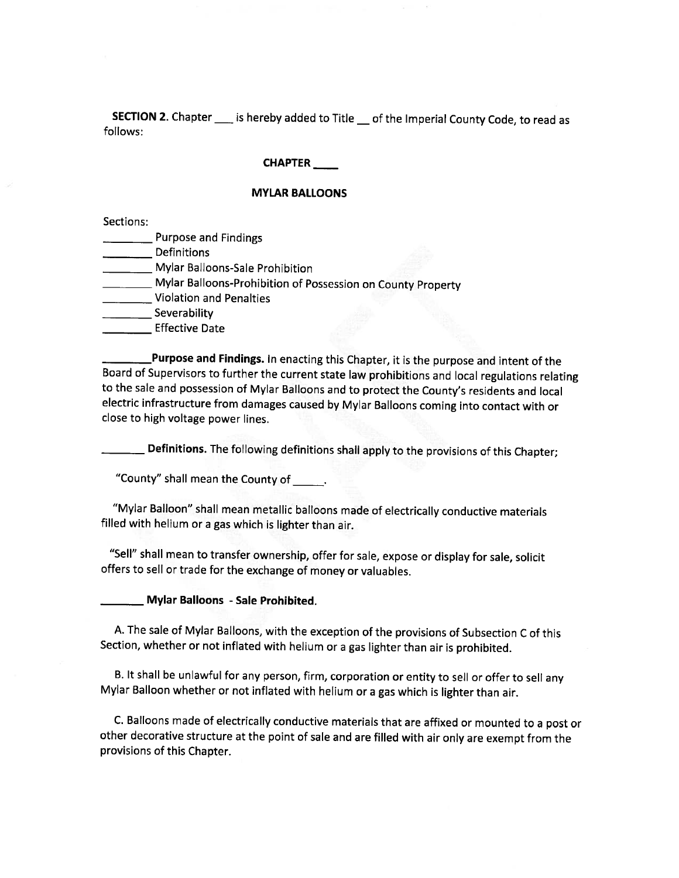**SECTION 2.** Chapter \_\_\_\_ is hereby added to Title \_\_ of the Imperial County Code, to read as follows:

#### **CHAPTER**

#### **MYLAR BALLOONS**

Sections:

- **Purpose and Findings**
- Definitions
- Mylar Balloons-Sale Prohibition
- Mylar Balloons-Prohibition of Possession on County Property
- Violation and Penalties
- Severability
- **Effective Date**

Purpose and Findings. In enacting this Chapter, it is the purpose and intent of the Board of Supervisors to further the current state law prohibitions and local regulations relating to the sale and possession of Mylar Balloons and to protect the County's residents and local electric infrastructure from damages caused by Mylar Balloons coming into contact with or close to high voltage power lines.

\_ Definitions. The following definitions shall apply to the provisions of this Chapter;

"County" shall mean the County of \_\_\_\_\_.

"Mylar Balloon" shall mean metallic balloons made of electrically conductive materials filled with helium or a gas which is lighter than air.

"Sell" shall mean to transfer ownership, offer for sale, expose or display for sale, solicit offers to sell or trade for the exchange of money or valuables.

#### \_ Mylar Balloons - Sale Prohibited.

A. The sale of Mylar Balloons, with the exception of the provisions of Subsection C of this Section, whether or not inflated with helium or a gas lighter than air is prohibited.

B. It shall be unlawful for any person, firm, corporation or entity to sell or offer to sell any Mylar Balloon whether or not inflated with helium or a gas which is lighter than air.

C. Balloons made of electrically conductive materials that are affixed or mounted to a post or other decorative structure at the point of sale and are filled with air only are exempt from the provisions of this Chapter.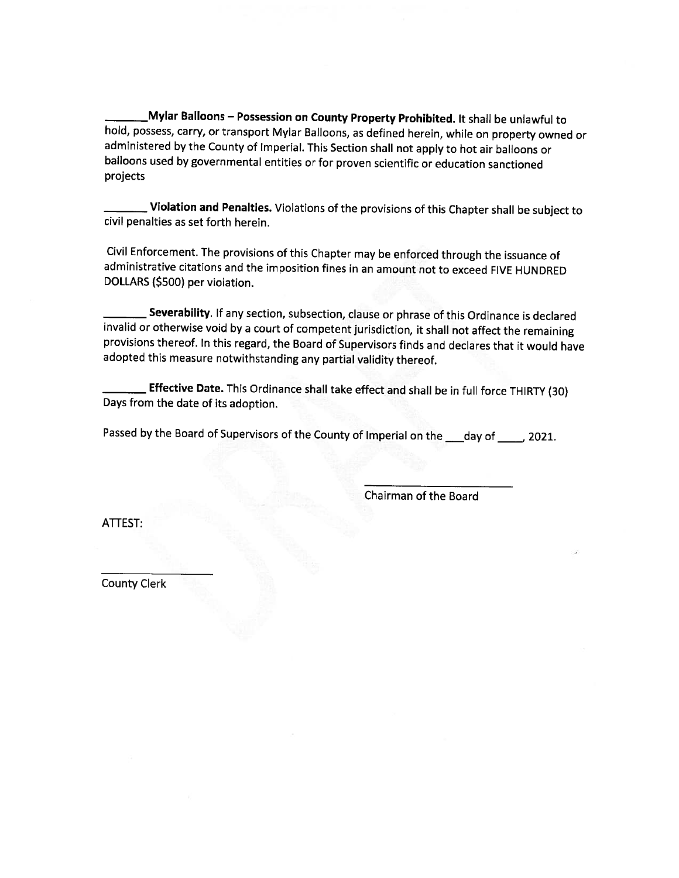Mylar Balloons – Possession on County Property Prohibited. It shall be unlawful to hold, possess, carry, or transport Mylar Balloons, as defined herein, while on property owned or administered by the County of Imperial. This Section shall not apply to hot air balloons or balloons used by governmental entities or for proven scientific or education sanctioned projects

Violation and Penalties. Violations of the provisions of this Chapter shall be subject to civil penalties as set forth herein.

Civil Enforcement. The provisions of this Chapter may be enforced through the issuance of administrative citations and the imposition fines in an amount not to exceed FIVE HUNDRED DOLLARS (\$500) per violation.

Severability. If any section, subsection, clause or phrase of this Ordinance is declared invalid or otherwise void by a court of competent jurisdiction, it shall not affect the remaining provisions thereof. In this regard, the Board of Supervisors finds and declares that it would have adopted this measure notwithstanding any partial validity thereof.

Effective Date. This Ordinance shall take effect and shall be in full force THIRTY (30) Days from the date of its adoption.

Passed by the Board of Supervisors of the County of Imperial on the \_eday of \_\_\_\_, 2021.

Chairman of the Board

ATTEST:

**County Clerk**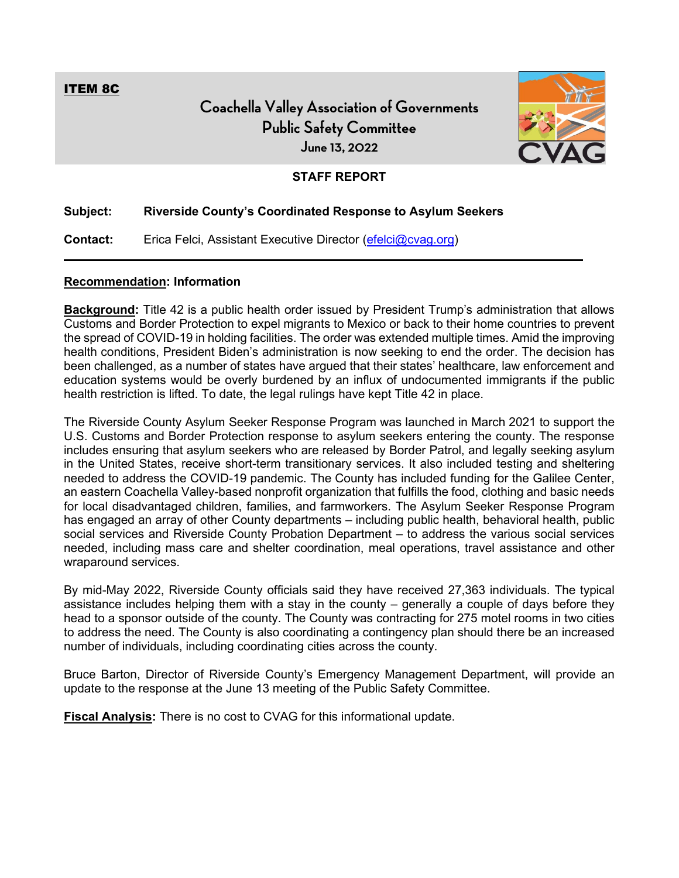<span id="page-16-0"></span>ITEM 8C

# **Coachella Valley Association of Governments Public Safety Committee June 13, 2022**



### **STAFF REPORT**

#### **Subject: Riverside County's Coordinated Response to Asylum Seekers**

**Contact:** Erica Felci, Assistant Executive Director [\(efelci@cvag.org\)](mailto:efelci@cvag.org)

#### **Recommendation: Information**

**Background:** Title 42 is a public health order issued by President Trump's administration that allows Customs and Border Protection to expel migrants to Mexico or back to their home countries to prevent the spread of COVID-19 in holding facilities. The order was extended multiple times. Amid the improving health conditions, President Biden's administration is now seeking to end the order. The decision has been challenged, as a number of states have argued that their states' healthcare, law enforcement and education systems would be overly burdened by an influx of undocumented immigrants if the public health restriction is lifted. To date, the legal rulings have kept Title 42 in place.

The Riverside County Asylum Seeker Response Program was launched in March 2021 to support the U.S. Customs and Border Protection response to asylum seekers entering the county. The response includes ensuring that asylum seekers who are released by Border Patrol, and legally seeking asylum in the United States, receive short-term transitionary services. It also included testing and sheltering needed to address the COVID-19 pandemic. The County has included funding for the Galilee Center, an eastern Coachella Valley-based nonprofit organization that fulfills the food, clothing and basic needs for local disadvantaged children, families, and farmworkers. The Asylum Seeker Response Program has engaged an array of other County departments – including public health, behavioral health, public social services and Riverside County Probation Department – to address the various social services needed, including mass care and shelter coordination, meal operations, travel assistance and other wraparound services.

By mid-May 2022, Riverside County officials said they have received 27,363 individuals. The typical assistance includes helping them with a stay in the county – generally a couple of days before they head to a sponsor outside of the county. The County was contracting for 275 motel rooms in two cities to address the need. The County is also coordinating a contingency plan should there be an increased number of individuals, including coordinating cities across the county.

Bruce Barton, Director of Riverside County's Emergency Management Department, will provide an update to the response at the June 13 meeting of the Public Safety Committee.

**Fiscal Analysis:** There is no cost to CVAG for this informational update.